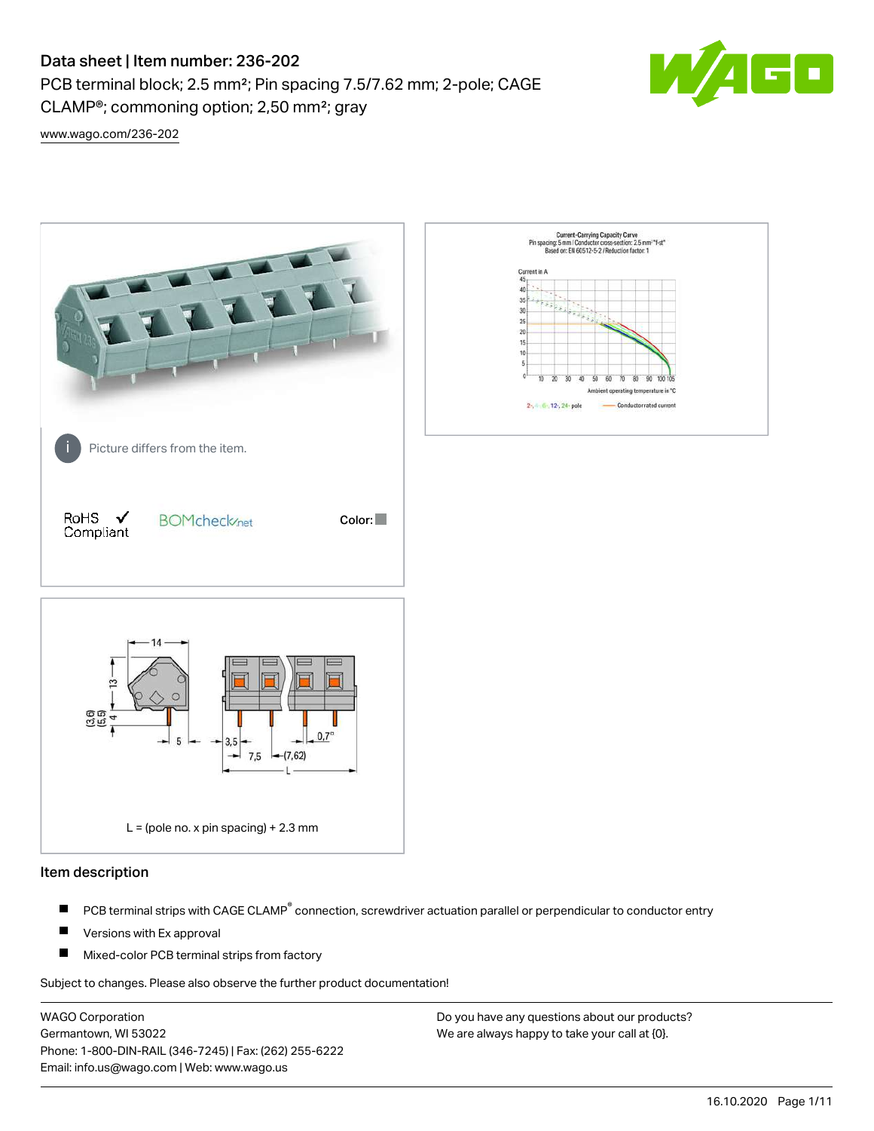PCB terminal block; 2.5 mm²; Pin spacing 7.5/7.62 mm; 2-pole; CAGE CLAMP®; commoning option; 2,50 mm²; gray



[www.wago.com/236-202](http://www.wago.com/236-202)



## Item description

- PCB terminal strips with CAGE CLAMP<sup>®</sup> connection, screwdriver actuation parallel or perpendicular to conductor entry П
- П Versions with Ex approval
- П Mixed-color PCB terminal strips from factory

Subject to changes. Please also observe the further product documentation!

WAGO Corporation Germantown, WI 53022 Phone: 1-800-DIN-RAIL (346-7245) | Fax: (262) 255-6222 Email: info.us@wago.com | Web: www.wago.us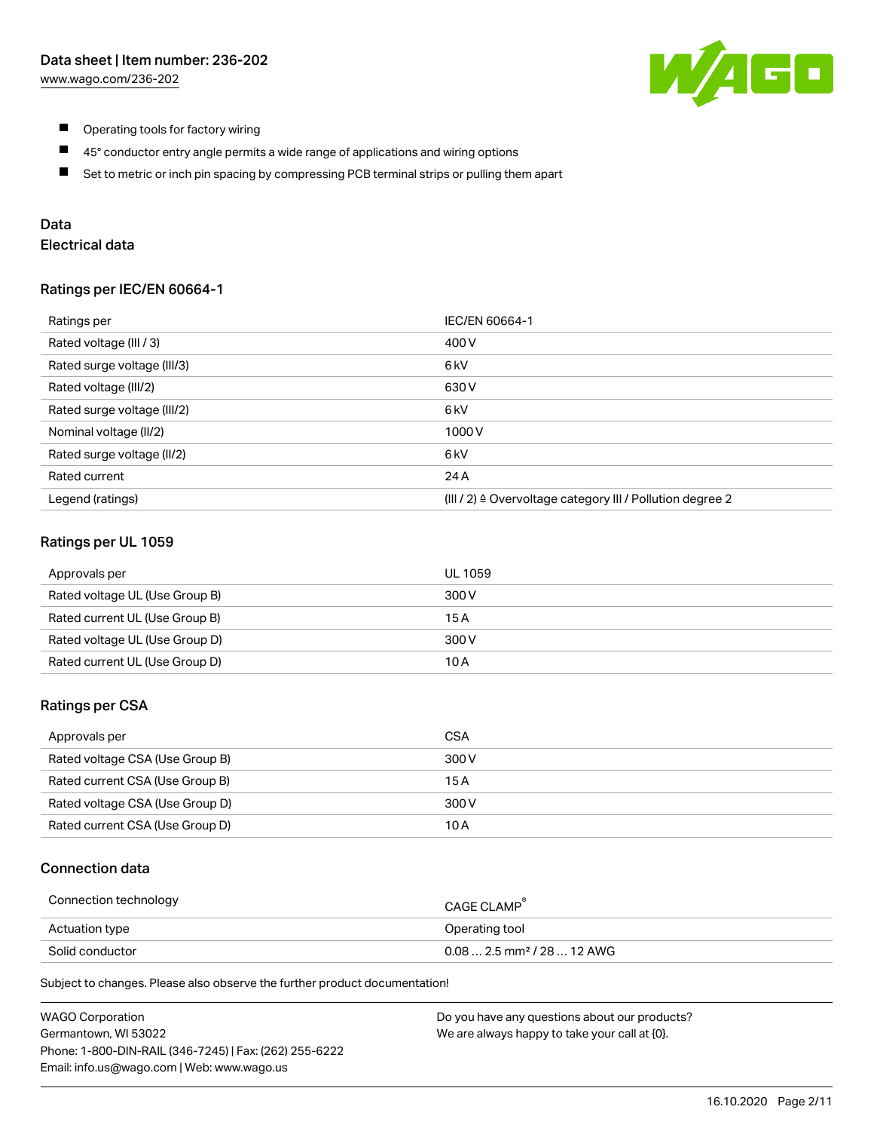

- $\blacksquare$ Operating tools for factory wiring
- $\blacksquare$ 45° conductor entry angle permits a wide range of applications and wiring options
- $\blacksquare$ Set to metric or inch pin spacing by compressing PCB terminal strips or pulling them apart

# Data

# Electrical data

#### Ratings per IEC/EN 60664-1

| Ratings per                 | IEC/EN 60664-1                                                        |
|-----------------------------|-----------------------------------------------------------------------|
| Rated voltage (III / 3)     | 400 V                                                                 |
| Rated surge voltage (III/3) | 6 <sub>kV</sub>                                                       |
| Rated voltage (III/2)       | 630 V                                                                 |
| Rated surge voltage (III/2) | 6 <sub>k</sub> V                                                      |
| Nominal voltage (II/2)      | 1000V                                                                 |
| Rated surge voltage (II/2)  | 6 kV                                                                  |
| Rated current               | 24 A                                                                  |
| Legend (ratings)            | $(III / 2)$ $\triangle$ Overvoltage category III / Pollution degree 2 |

## Ratings per UL 1059

| Approvals per                  | UL 1059 |
|--------------------------------|---------|
| Rated voltage UL (Use Group B) | 300 V   |
| Rated current UL (Use Group B) | 15 A    |
| Rated voltage UL (Use Group D) | 300 V   |
| Rated current UL (Use Group D) | 10 A    |

### Ratings per CSA

| Approvals per                   | CSA   |
|---------------------------------|-------|
| Rated voltage CSA (Use Group B) | 300 V |
| Rated current CSA (Use Group B) | 15 A  |
| Rated voltage CSA (Use Group D) | 300 V |
| Rated current CSA (Use Group D) | 10 A  |

## Connection data

| Connection technology | CAGE CLAMP                              |
|-----------------------|-----------------------------------------|
| Actuation type        | Operating tool                          |
| Solid conductor       | $0.08$ 2.5 mm <sup>2</sup> / 28  12 AWG |

Subject to changes. Please also observe the further product documentation!

| <b>WAGO Corporation</b>                                | Do you have any questions about our products? |
|--------------------------------------------------------|-----------------------------------------------|
| Germantown, WI 53022                                   | We are always happy to take your call at {0}. |
| Phone: 1-800-DIN-RAIL (346-7245)   Fax: (262) 255-6222 |                                               |
| Email: info.us@wago.com   Web: www.wago.us             |                                               |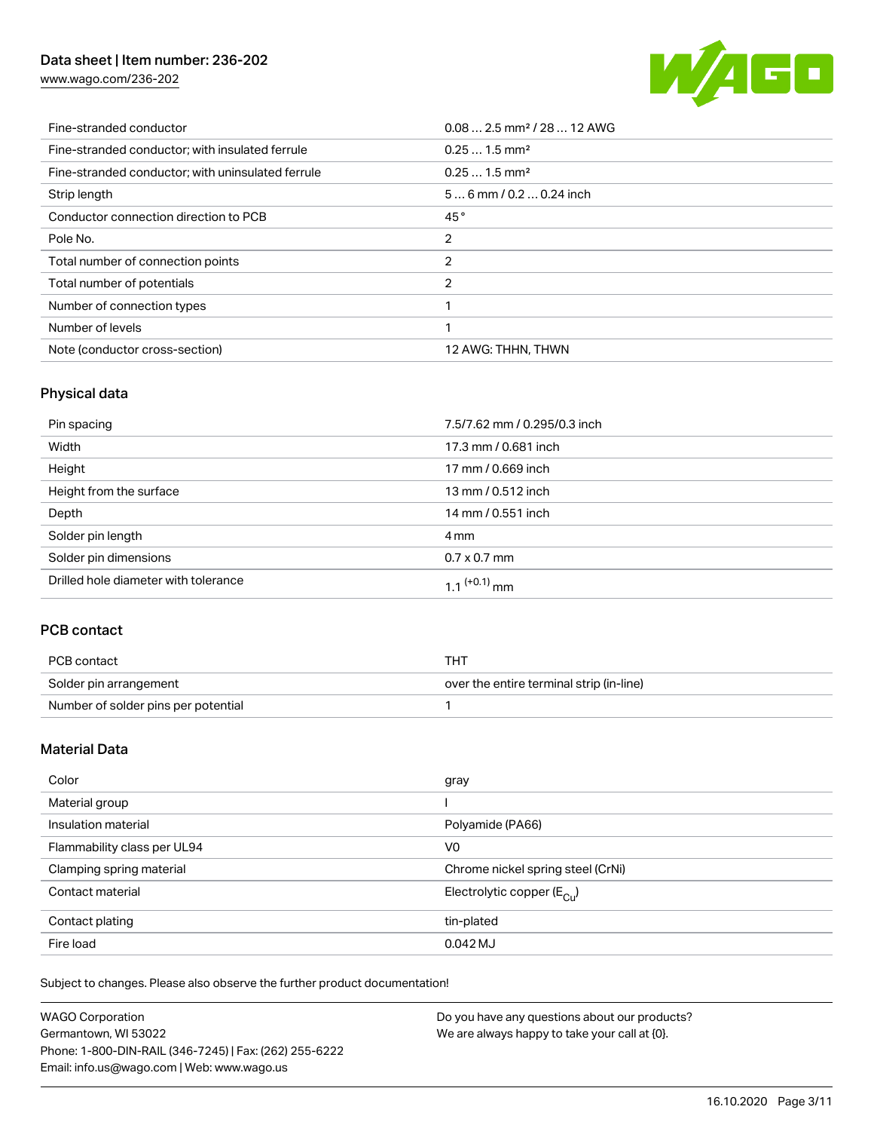[www.wago.com/236-202](http://www.wago.com/236-202)



| Fine-stranded conductor                           | $0.08$ 2.5 mm <sup>2</sup> / 28  12 AWG |
|---------------------------------------------------|-----------------------------------------|
| Fine-stranded conductor: with insulated ferrule   | $0.251.5$ mm <sup>2</sup>               |
| Fine-stranded conductor; with uninsulated ferrule | $0.251.5$ mm <sup>2</sup>               |
| Strip length                                      | $56$ mm $/ 0.20.24$ inch                |
| Conductor connection direction to PCB             | 45°                                     |
| Pole No.                                          | 2                                       |
| Total number of connection points                 | 2                                       |
| Total number of potentials                        | 2                                       |
| Number of connection types                        |                                         |
| Number of levels                                  | ◀                                       |
| Note (conductor cross-section)                    | 12 AWG: THHN, THWN                      |

# Physical data

| Pin spacing                          | 7.5/7.62 mm / 0.295/0.3 inch |
|--------------------------------------|------------------------------|
| Width                                | 17.3 mm / 0.681 inch         |
| Height                               | 17 mm / 0.669 inch           |
| Height from the surface              | 13 mm / 0.512 inch           |
| Depth                                | 14 mm / 0.551 inch           |
| Solder pin length                    | 4 mm                         |
| Solder pin dimensions                | $0.7 \times 0.7$ mm          |
| Drilled hole diameter with tolerance | $1.1$ <sup>(+0.1)</sup> mm   |

# PCB contact

| PCB contact                         | THT                                      |
|-------------------------------------|------------------------------------------|
| Solder pin arrangement              | over the entire terminal strip (in-line) |
| Number of solder pins per potential |                                          |

# Material Data

| Color                       | gray                                    |
|-----------------------------|-----------------------------------------|
| Material group              |                                         |
| Insulation material         | Polyamide (PA66)                        |
| Flammability class per UL94 | V <sub>0</sub>                          |
| Clamping spring material    | Chrome nickel spring steel (CrNi)       |
| Contact material            | Electrolytic copper ( $E_{\text{Cu}}$ ) |
| Contact plating             | tin-plated                              |
| Fire load                   | $0.042$ MJ                              |

Subject to changes. Please also observe the further product documentation!

| <b>WAGO Corporation</b>                                | Do you have any questions about our products? |
|--------------------------------------------------------|-----------------------------------------------|
| Germantown, WI 53022                                   | We are always happy to take your call at {0}. |
| Phone: 1-800-DIN-RAIL (346-7245)   Fax: (262) 255-6222 |                                               |
| Email: info.us@wago.com   Web: www.wago.us             |                                               |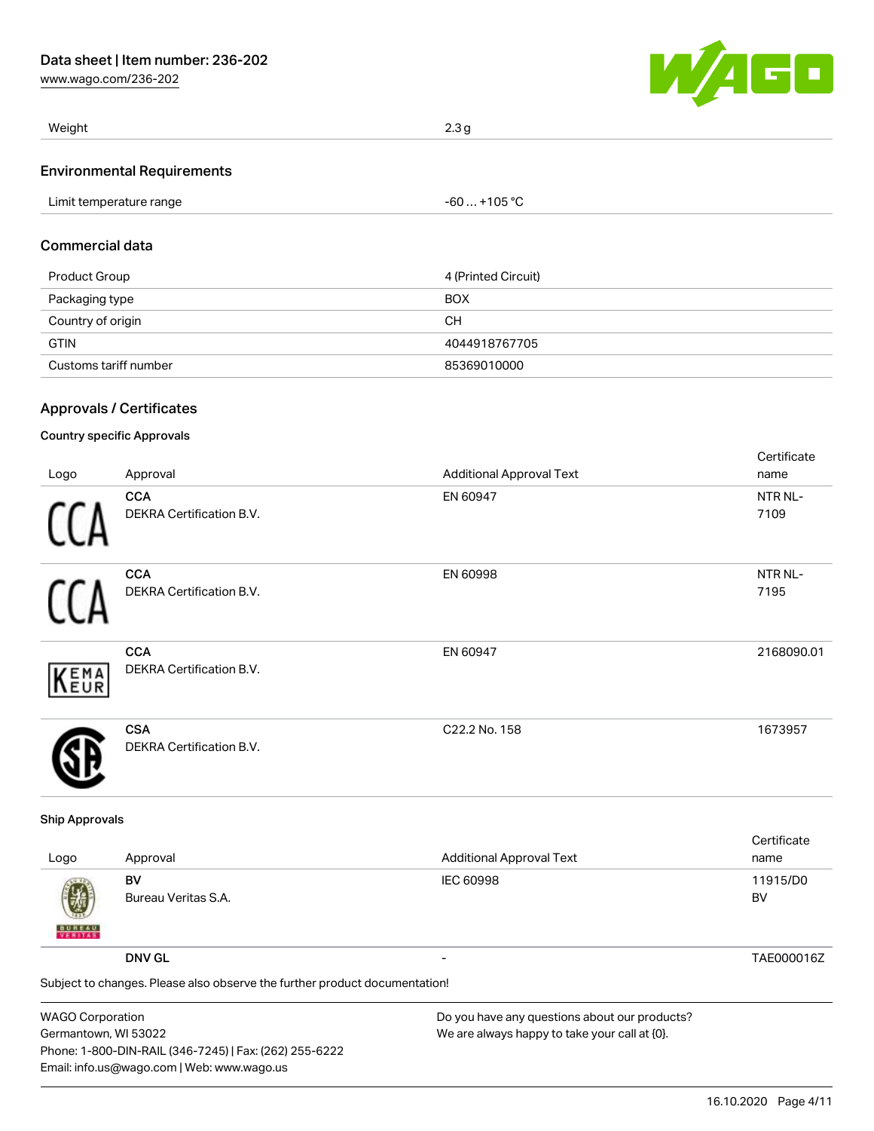[www.wago.com/236-202](http://www.wago.com/236-202)



| Weight                            | 2.3 g |
|-----------------------------------|-------|
| <b>Environmental Requirements</b> |       |

| 105 °C<br>l imit<br>temperature range<br>-n |  |
|---------------------------------------------|--|
|---------------------------------------------|--|

# Commercial data

| Product Group         | 4 (Printed Circuit) |
|-----------------------|---------------------|
| Packaging type        | <b>BOX</b>          |
| Country of origin     | CН                  |
| <b>GTIN</b>           | 4044918767705       |
| Customs tariff number | 85369010000         |

# Approvals / Certificates

# Country specific Approvals

|      |                                               |                                 | Certificate     |
|------|-----------------------------------------------|---------------------------------|-----------------|
| Logo | Approval                                      | <b>Additional Approval Text</b> | name            |
| 11   | <b>CCA</b><br>DEKRA Certification B.V.        | EN 60947                        | NTR NL-<br>7109 |
| ſ1   | <b>CCA</b><br><b>DEKRA Certification B.V.</b> | EN 60998                        | NTR NL-<br>7195 |
| KEMA | <b>CCA</b><br><b>DEKRA Certification B.V.</b> | EN 60947                        | 2168090.01      |
|      | <b>CSA</b><br><b>DEKRA Certification B.V.</b> | C22.2 No. 158                   | 1673957         |

#### Ship Approvals

| Logo                                                                       | Approval                  | <b>Additional Approval Text</b> | Certificate<br>name |
|----------------------------------------------------------------------------|---------------------------|---------------------------------|---------------------|
| 嚩<br><b>BUREAU</b>                                                         | BV<br>Bureau Veritas S.A. | IEC 60998                       | 11915/D0<br>BV      |
|                                                                            | <b>DNV GL</b>             |                                 | TAE000016Z          |
| Subject to changes. Please also observe the further product documentation! |                           |                                 |                     |

WAGO Corporation Germantown, WI 53022 Phone: 1-800-DIN-RAIL (346-7245) | Fax: (262) 255-6222 Email: info.us@wago.com | Web: www.wago.us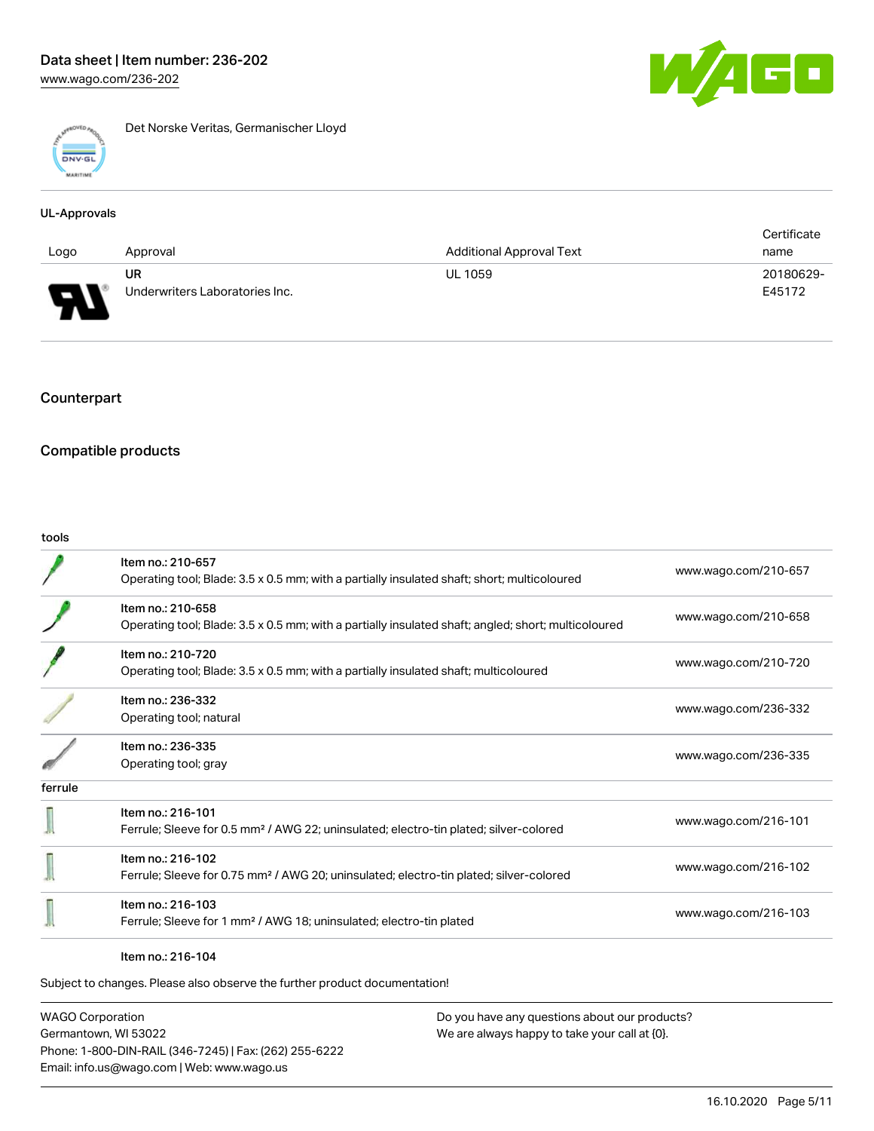

Det Norske Veritas, Germanischer Lloyd

#### UL-Approvals

|      |                                |                                 | Certificate |
|------|--------------------------------|---------------------------------|-------------|
| Logo | Approval                       | <b>Additional Approval Text</b> | name        |
|      | UR                             | <b>UL 1059</b>                  | 20180629-   |
| J    | Underwriters Laboratories Inc. |                                 | E45172      |

# **Counterpart**

## Compatible products

#### tools

|         | Item no.: 210-657<br>Operating tool; Blade: 3.5 x 0.5 mm; with a partially insulated shaft; short; multicoloured         | www.wago.com/210-657 |
|---------|--------------------------------------------------------------------------------------------------------------------------|----------------------|
|         | Item no.: 210-658<br>Operating tool; Blade: 3.5 x 0.5 mm; with a partially insulated shaft; angled; short; multicoloured | www.wago.com/210-658 |
|         | Item no.: 210-720<br>Operating tool; Blade: 3.5 x 0.5 mm; with a partially insulated shaft; multicoloured                | www.wago.com/210-720 |
|         | Item no.: 236-332<br>Operating tool; natural                                                                             | www.wago.com/236-332 |
|         | Item no.: 236-335<br>Operating tool; gray                                                                                | www.wago.com/236-335 |
| ferrule |                                                                                                                          |                      |
|         | Item no.: 216-101<br>Ferrule; Sleeve for 0.5 mm <sup>2</sup> / AWG 22; uninsulated; electro-tin plated; silver-colored   | www.wago.com/216-101 |
|         | Item no.: 216-102<br>Ferrule; Sleeve for 0.75 mm <sup>2</sup> / AWG 20; uninsulated; electro-tin plated; silver-colored  | www.wago.com/216-102 |
|         | Item no.: 216-103<br>Ferrule; Sleeve for 1 mm <sup>2</sup> / AWG 18; uninsulated; electro-tin plated                     | www.wago.com/216-103 |

#### Item no.: 216-104

Subject to changes. Please also observe the further product documentation!

WAGO Corporation Germantown, WI 53022 Phone: 1-800-DIN-RAIL (346-7245) | Fax: (262) 255-6222 Email: info.us@wago.com | Web: www.wago.us

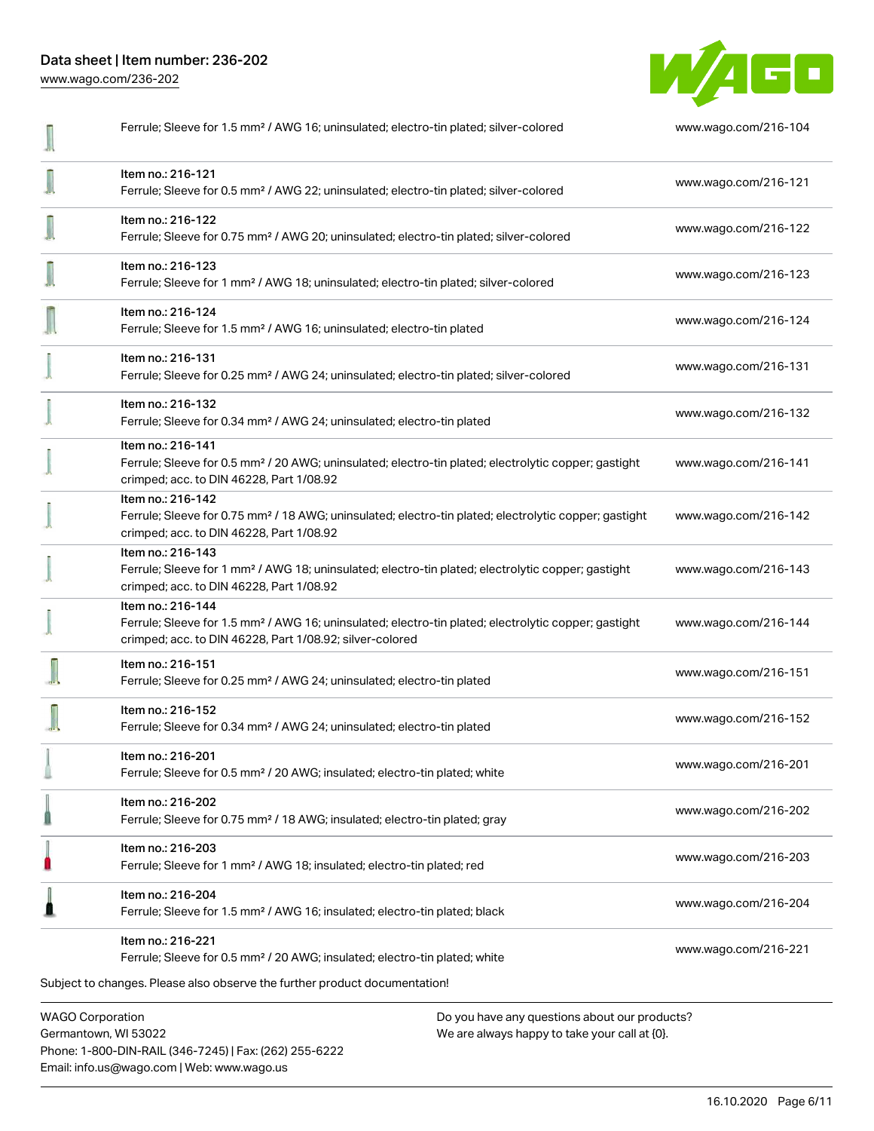Data sheet | Item number: 236-202 [www.wago.com/236-202](http://www.wago.com/236-202)

W/AGO

| Ferrule; Sleeve for 1.5 mm <sup>2</sup> / AWG 16; uninsulated; electro-tin plated; silver-colored                                                                                                 | www.wago.com/216-104 |
|---------------------------------------------------------------------------------------------------------------------------------------------------------------------------------------------------|----------------------|
| Item no.: 216-121<br>Ferrule; Sleeve for 0.5 mm <sup>2</sup> / AWG 22; uninsulated; electro-tin plated; silver-colored                                                                            | www.wago.com/216-121 |
| Item no.: 216-122<br>Ferrule; Sleeve for 0.75 mm <sup>2</sup> / AWG 20; uninsulated; electro-tin plated; silver-colored                                                                           | www.wago.com/216-122 |
| Item no.: 216-123<br>Ferrule; Sleeve for 1 mm <sup>2</sup> / AWG 18; uninsulated; electro-tin plated; silver-colored                                                                              | www.wago.com/216-123 |
| Item no.: 216-124<br>Ferrule; Sleeve for 1.5 mm <sup>2</sup> / AWG 16; uninsulated; electro-tin plated                                                                                            | www.wago.com/216-124 |
| Item no.: 216-131<br>Ferrule; Sleeve for 0.25 mm <sup>2</sup> / AWG 24; uninsulated; electro-tin plated; silver-colored                                                                           | www.wago.com/216-131 |
| Item no.: 216-132<br>Ferrule; Sleeve for 0.34 mm <sup>2</sup> / AWG 24; uninsulated; electro-tin plated                                                                                           | www.wago.com/216-132 |
| Item no.: 216-141<br>Ferrule; Sleeve for 0.5 mm <sup>2</sup> / 20 AWG; uninsulated; electro-tin plated; electrolytic copper; gastight<br>crimped; acc. to DIN 46228, Part 1/08.92                 | www.wago.com/216-141 |
| Item no.: 216-142<br>Ferrule; Sleeve for 0.75 mm <sup>2</sup> / 18 AWG; uninsulated; electro-tin plated; electrolytic copper; gastight<br>crimped; acc. to DIN 46228, Part 1/08.92                | www.wago.com/216-142 |
| Item no.: 216-143<br>Ferrule; Sleeve for 1 mm <sup>2</sup> / AWG 18; uninsulated; electro-tin plated; electrolytic copper; gastight<br>crimped; acc. to DIN 46228, Part 1/08.92                   | www.wago.com/216-143 |
| Item no.: 216-144<br>Ferrule; Sleeve for 1.5 mm <sup>2</sup> / AWG 16; uninsulated; electro-tin plated; electrolytic copper; gastight<br>crimped; acc. to DIN 46228, Part 1/08.92; silver-colored | www.wago.com/216-144 |
| Item no.: 216-151<br>Ferrule; Sleeve for 0.25 mm <sup>2</sup> / AWG 24; uninsulated; electro-tin plated                                                                                           | www.wago.com/216-151 |
| Item no.: 216-152<br>Ferrule; Sleeve for 0.34 mm <sup>2</sup> / AWG 24; uninsulated; electro-tin plated                                                                                           | www.wago.com/216-152 |
| ltem no.: 216-201<br>Ferrule; Sleeve for 0.5 mm <sup>2</sup> / 20 AWG; insulated; electro-tin plated; white                                                                                       | www.wago.com/216-201 |
| Item no.: 216-202<br>Ferrule; Sleeve for 0.75 mm <sup>2</sup> / 18 AWG; insulated; electro-tin plated; gray                                                                                       | www.wago.com/216-202 |
| Item no.: 216-203<br>Ferrule; Sleeve for 1 mm <sup>2</sup> / AWG 18; insulated; electro-tin plated; red                                                                                           | www.wago.com/216-203 |
| Item no.: 216-204<br>Ferrule; Sleeve for 1.5 mm <sup>2</sup> / AWG 16; insulated; electro-tin plated; black                                                                                       | www.wago.com/216-204 |
| Item no.: 216-221<br>Ferrule; Sleeve for 0.5 mm <sup>2</sup> / 20 AWG; insulated; electro-tin plated; white                                                                                       | www.wago.com/216-221 |
| Subject to changes. Please also observe the further product documentation!                                                                                                                        |                      |

WAGO Corporation Germantown, WI 53022 Phone: 1-800-DIN-RAIL (346-7245) | Fax: (262) 255-6222 Email: info.us@wago.com | Web: www.wago.us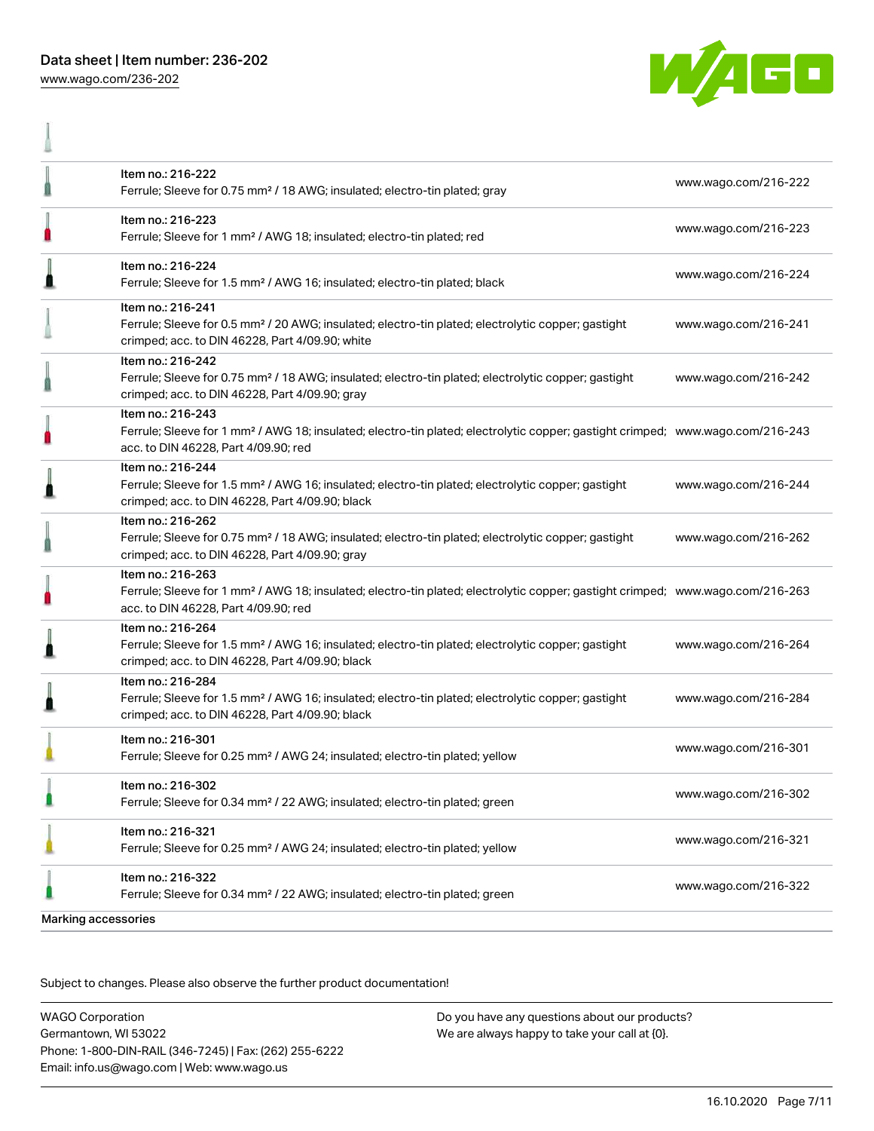[www.wago.com/236-202](http://www.wago.com/236-202)

A



|                     | Item no.: 216-222<br>Ferrule; Sleeve for 0.75 mm <sup>2</sup> / 18 AWG; insulated; electro-tin plated; gray                                                                                             | www.wago.com/216-222 |
|---------------------|---------------------------------------------------------------------------------------------------------------------------------------------------------------------------------------------------------|----------------------|
| Ω                   | Item no.: 216-223<br>Ferrule; Sleeve for 1 mm <sup>2</sup> / AWG 18; insulated; electro-tin plated; red                                                                                                 | www.wago.com/216-223 |
|                     | Item no.: 216-224<br>Ferrule; Sleeve for 1.5 mm <sup>2</sup> / AWG 16; insulated; electro-tin plated; black                                                                                             | www.wago.com/216-224 |
|                     | Item no.: 216-241<br>Ferrule; Sleeve for 0.5 mm <sup>2</sup> / 20 AWG; insulated; electro-tin plated; electrolytic copper; gastight<br>crimped; acc. to DIN 46228, Part 4/09.90; white                  | www.wago.com/216-241 |
|                     | Item no.: 216-242<br>Ferrule; Sleeve for 0.75 mm <sup>2</sup> / 18 AWG; insulated; electro-tin plated; electrolytic copper; gastight<br>crimped; acc. to DIN 46228, Part 4/09.90; gray                  | www.wago.com/216-242 |
| Ω                   | Item no.: 216-243<br>Ferrule; Sleeve for 1 mm <sup>2</sup> / AWG 18; insulated; electro-tin plated; electrolytic copper; gastight crimped; www.wago.com/216-243<br>acc. to DIN 46228, Part 4/09.90; red |                      |
|                     | Item no.: 216-244<br>Ferrule; Sleeve for 1.5 mm <sup>2</sup> / AWG 16; insulated; electro-tin plated; electrolytic copper; gastight<br>crimped; acc. to DIN 46228, Part 4/09.90; black                  | www.wago.com/216-244 |
|                     | Item no.: 216-262<br>Ferrule; Sleeve for 0.75 mm <sup>2</sup> / 18 AWG; insulated; electro-tin plated; electrolytic copper; gastight<br>crimped; acc. to DIN 46228, Part 4/09.90; gray                  | www.wago.com/216-262 |
|                     | Item no.: 216-263<br>Ferrule; Sleeve for 1 mm <sup>2</sup> / AWG 18; insulated; electro-tin plated; electrolytic copper; gastight crimped; www.wago.com/216-263<br>acc. to DIN 46228, Part 4/09.90; red |                      |
|                     | Item no.: 216-264<br>Ferrule; Sleeve for 1.5 mm <sup>2</sup> / AWG 16; insulated; electro-tin plated; electrolytic copper; gastight<br>crimped; acc. to DIN 46228, Part 4/09.90; black                  | www.wago.com/216-264 |
|                     | Item no.: 216-284<br>Ferrule; Sleeve for 1.5 mm <sup>2</sup> / AWG 16; insulated; electro-tin plated; electrolytic copper; gastight<br>crimped; acc. to DIN 46228, Part 4/09.90; black                  | www.wago.com/216-284 |
|                     | Item no.: 216-301<br>Ferrule; Sleeve for 0.25 mm <sup>2</sup> / AWG 24; insulated; electro-tin plated; yellow                                                                                           | www.wago.com/216-301 |
|                     | Item no.: 216-302<br>Ferrule; Sleeve for 0.34 mm <sup>2</sup> / 22 AWG; insulated; electro-tin plated; green                                                                                            | www.wago.com/216-302 |
|                     | Item no.: 216-321<br>Ferrule; Sleeve for 0.25 mm <sup>2</sup> / AWG 24; insulated; electro-tin plated; yellow                                                                                           | www.wago.com/216-321 |
|                     | Item no.: 216-322<br>Ferrule; Sleeve for 0.34 mm <sup>2</sup> / 22 AWG; insulated; electro-tin plated; green                                                                                            | www.wago.com/216-322 |
| Marking accessories |                                                                                                                                                                                                         |                      |

Subject to changes. Please also observe the further product documentation!

WAGO Corporation Germantown, WI 53022 Phone: 1-800-DIN-RAIL (346-7245) | Fax: (262) 255-6222 Email: info.us@wago.com | Web: www.wago.us Do you have any questions about our products? We are always happy to take your call at {0}.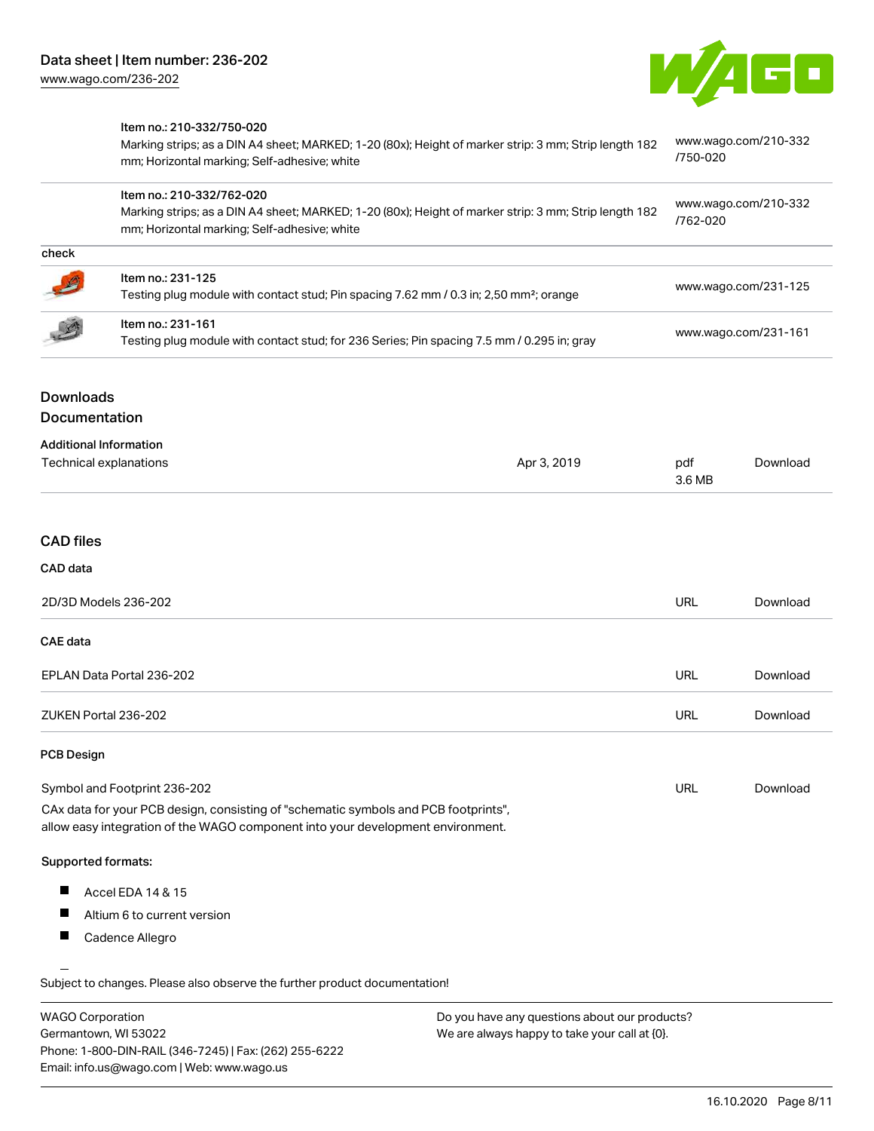

|                  | Item no.: 210-332/750-020                                                                                                                             | www.wago.com/210-332 |
|------------------|-------------------------------------------------------------------------------------------------------------------------------------------------------|----------------------|
|                  | Marking strips; as a DIN A4 sheet; MARKED; 1-20 (80x); Height of marker strip: 3 mm; Strip length 182<br>mm; Horizontal marking; Self-adhesive; white | /750-020             |
|                  | Item no.: 210-332/762-020                                                                                                                             | www.wago.com/210-332 |
|                  | Marking strips; as a DIN A4 sheet; MARKED; 1-20 (80x); Height of marker strip: 3 mm; Strip length 182<br>mm; Horizontal marking; Self-adhesive; white | /762-020             |
| check            |                                                                                                                                                       |                      |
|                  | Item no.: 231-125                                                                                                                                     | www.wago.com/231-125 |
|                  | Testing plug module with contact stud; Pin spacing 7.62 mm / 0.3 in; 2,50 mm <sup>2</sup> ; orange                                                    |                      |
|                  | Item no.: 231-161                                                                                                                                     |                      |
|                  | Testing plug module with contact stud; for 236 Series; Pin spacing 7.5 mm / 0.295 in; gray                                                            | www.wago.com/231-161 |
|                  |                                                                                                                                                       |                      |
| <b>Downloads</b> |                                                                                                                                                       |                      |

#### Documentation

| <b>Additional Information</b> |             |        |          |
|-------------------------------|-------------|--------|----------|
| Technical explanations        | Apr 3, 2019 | pdf    | Download |
|                               |             | 3.6 MB |          |

## CAD files

| 2D/3D Models 236-202      | URL        | Download |
|---------------------------|------------|----------|
| CAE data                  |            |          |
| EPLAN Data Portal 236-202 | <b>URL</b> | Download |
| ZUKEN Portal 236-202      | URL        | Download |

#### PCB Design

| Symbol and Footprint 236-202                                                        | URL | Download |
|-------------------------------------------------------------------------------------|-----|----------|
| CAx data for your PCB design, consisting of "schematic symbols and PCB footprints", |     |          |

allow easy integration of the WAGO component into your development environment.

#### Supported formats:

- $\blacksquare$ Accel EDA 14 & 15
- $\blacksquare$ Altium 6 to current version
- $\blacksquare$ Cadence Allegro

.<br>Subject to changes. Please also observe the further product documentation!

| <b>WAGO Corporation</b>                                | Do you have any questions about our products? |
|--------------------------------------------------------|-----------------------------------------------|
| Germantown, WI 53022                                   | We are always happy to take your call at {0}. |
| Phone: 1-800-DIN-RAIL (346-7245)   Fax: (262) 255-6222 |                                               |
| Email: info.us@wago.com   Web: www.wago.us             |                                               |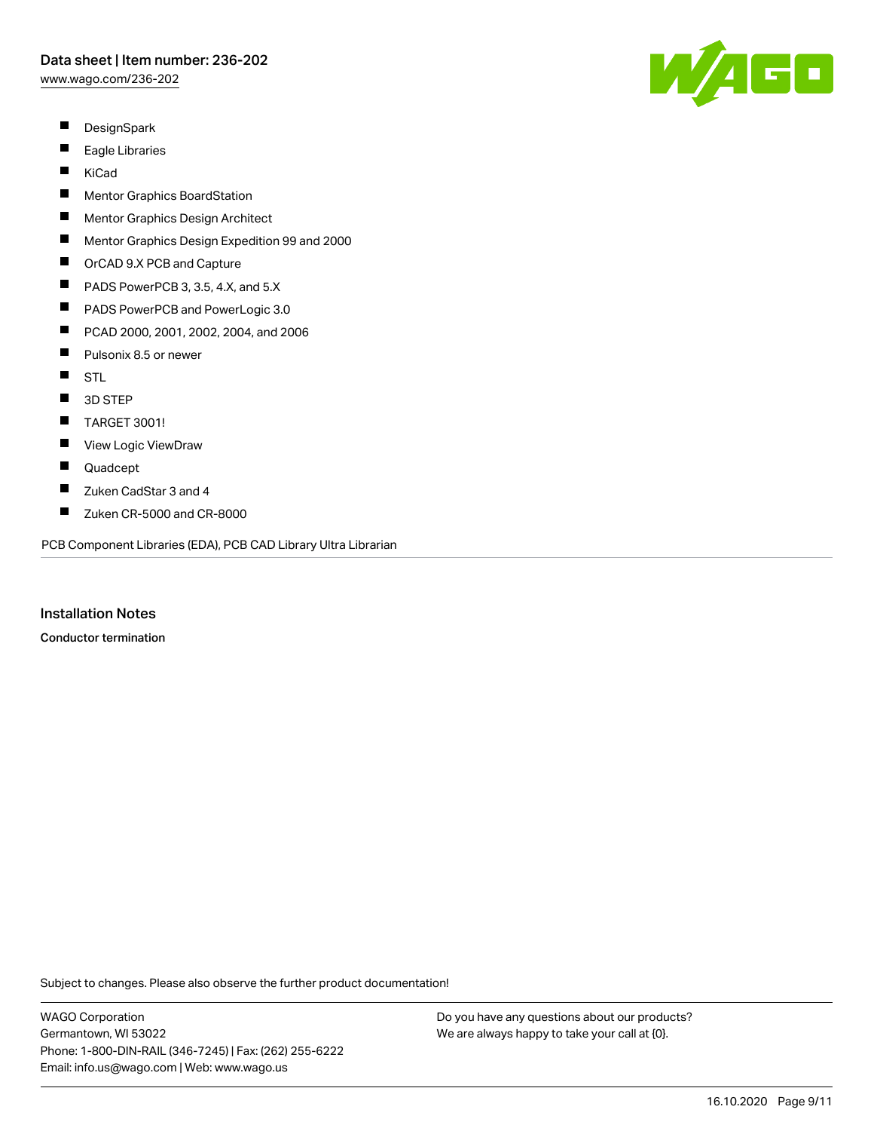[www.wago.com/236-202](http://www.wago.com/236-202)

- $\blacksquare$ **DesignSpark**
- $\blacksquare$ Eagle Libraries
- $\blacksquare$ KiCad
- $\blacksquare$ Mentor Graphics BoardStation
- П Mentor Graphics Design Architect
- $\blacksquare$ Mentor Graphics Design Expedition 99 and 2000
- $\blacksquare$ OrCAD 9.X PCB and Capture
- $\blacksquare$ PADS PowerPCB 3, 3.5, 4.X, and 5.X
- $\blacksquare$ PADS PowerPCB and PowerLogic 3.0
- $\blacksquare$ PCAD 2000, 2001, 2002, 2004, and 2006
- $\blacksquare$ Pulsonix 8.5 or newer
- $\blacksquare$ STL
- $\blacksquare$ 3D STEP
- $\blacksquare$ TARGET 3001!
- $\blacksquare$ View Logic ViewDraw
- $\blacksquare$ Quadcept
- П Zuken CadStar 3 and 4
- $\blacksquare$ Zuken CR-5000 and CR-8000

PCB Component Libraries (EDA), PCB CAD Library Ultra Librarian

Installation Notes

Conductor termination

Subject to changes. Please also observe the further product documentation!

WAGO Corporation Germantown, WI 53022 Phone: 1-800-DIN-RAIL (346-7245) | Fax: (262) 255-6222 Email: info.us@wago.com | Web: www.wago.us

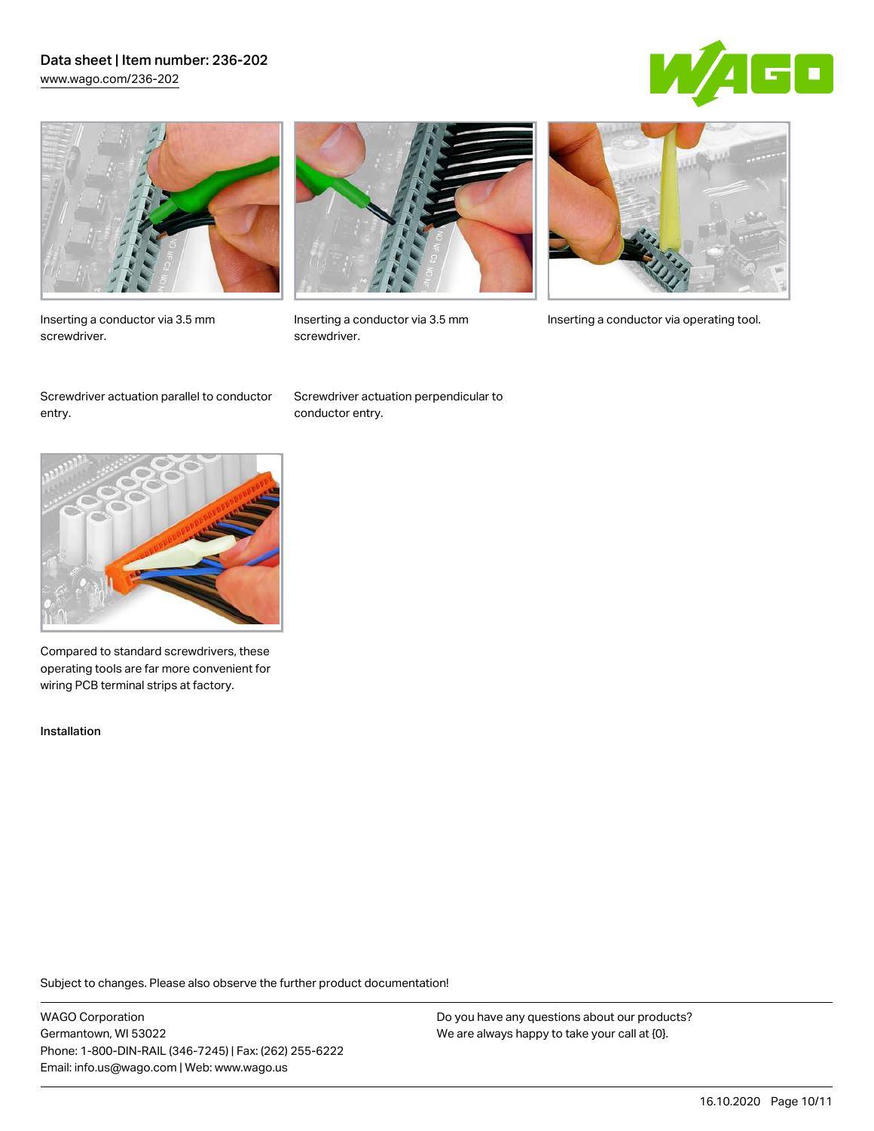## Data sheet | Item number: 236-202 [www.wago.com/236-202](http://www.wago.com/236-202)





Inserting a conductor via 3.5 mm screwdriver.



screwdriver.

Inserting a conductor via 3.5 mm Inserting a conductor via operating tool.

Screwdriver actuation parallel to conductor entry.

Screwdriver actuation perpendicular to conductor entry.



Compared to standard screwdrivers, these operating tools are far more convenient for wiring PCB terminal strips at factory.

Installation

Subject to changes. Please also observe the further product documentation!

WAGO Corporation Germantown, WI 53022 Phone: 1-800-DIN-RAIL (346-7245) | Fax: (262) 255-6222 Email: info.us@wago.com | Web: www.wago.us